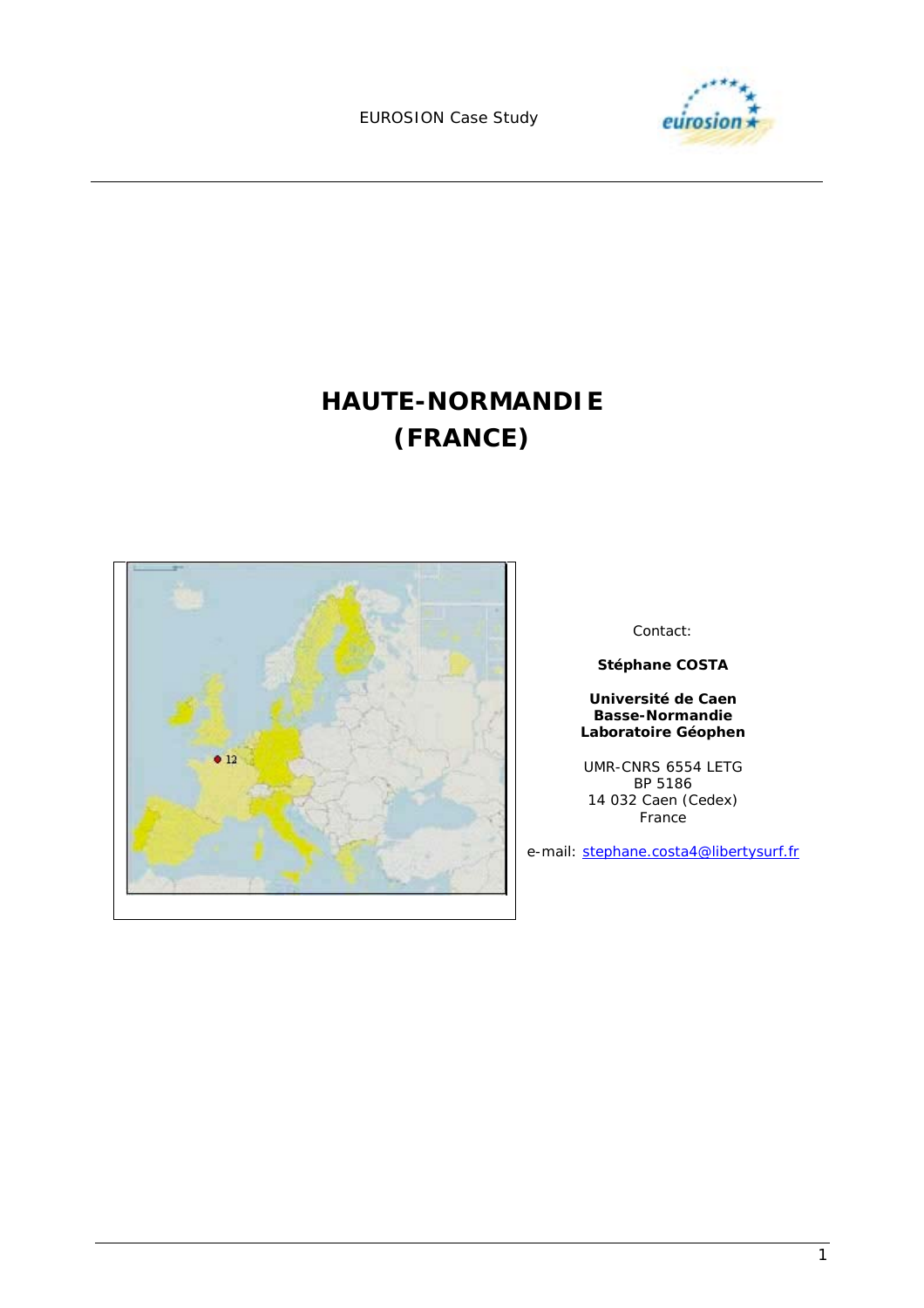

# **HAUTE-NORMANDIE (FRANCE)**



Contact:

**Stéphane COSTA** 

**Université de Caen Basse-Normandie Laboratoire Géophen** 

UMR-CNRS 6554 LETG BP 5186 14 032 Caen (Cedex) France

e-mail: stephane.costa4@libertysurf.fr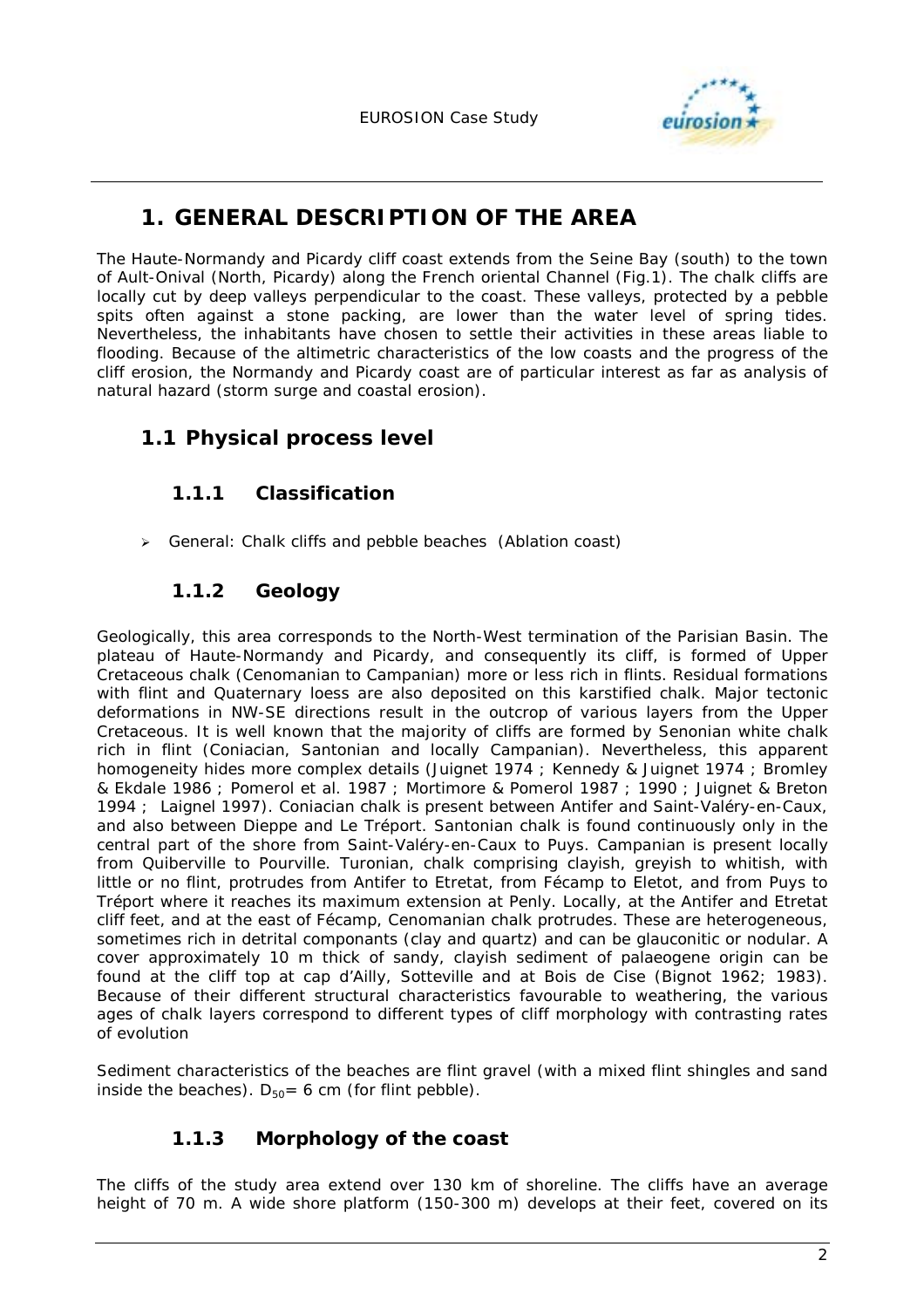

# **1. GENERAL DESCRIPTION OF THE AREA**

The Haute-Normandy and Picardy cliff coast extends from the Seine Bay (south) to the town of Ault-Onival (North, Picardy) along the French oriental Channel (Fig.1). The chalk cliffs are locally cut by deep valleys perpendicular to the coast. These valleys, protected by a pebble spits often against a stone packing, are lower than the water level of spring tides. Nevertheless, the inhabitants have chosen to settle their activities in these areas liable to flooding. Because of the altimetric characteristics of the low coasts and the progress of the cliff erosion, the Normandy and Picardy coast are of particular interest as far as analysis of natural hazard (storm surge and coastal erosion).

# **1.1 Physical process level**

### **1.1.1 Classification**

- General: Chalk cliffs and pebble beaches (Ablation coast)

# **1.1.2 Geology**

Geologically, this area corresponds to the North-West termination of the Parisian Basin. The plateau of Haute-Normandy and Picardy, and consequently its cliff, is formed of Upper Cretaceous chalk (Cenomanian to Campanian) more or less rich in flints. Residual formations with flint and Quaternary loess are also deposited on this karstified chalk. Major tectonic deformations in NW-SE directions result in the outcrop of various layers from the Upper Cretaceous. It is well known that the majority of cliffs are formed by Senonian white chalk rich in flint (Coniacian, Santonian and locally Campanian). Nevertheless, this apparent homogeneity hides more complex details (Juignet 1974 ; Kennedy & Juignet 1974 ; Bromley & Ekdale 1986 ; Pomerol *et al*. 1987 ; Mortimore & Pomerol 1987 ; 1990 ; Juignet & Breton 1994 ; Laignel 1997). Coniacian chalk is present between Antifer and Saint-Valéry-en-Caux, and also between Dieppe and Le Tréport. Santonian chalk is found continuously only in the central part of the shore from Saint-Valéry-en-Caux to Puys. Campanian is present locally from Quiberville to Pourville. Turonian, chalk comprising clayish, greyish to whitish, with little or no flint, protrudes from Antifer to Etretat, from Fécamp to Eletot, and from Puys to Tréport where it reaches its maximum extension at Penly. Locally, at the Antifer and Etretat cliff feet, and at the east of Fécamp, Cenomanian chalk protrudes. These are heterogeneous, sometimes rich in detrital componants (clay and quartz) and can be glauconitic or nodular. A cover approximately 10 m thick of sandy, clayish sediment of palaeogene origin can be found at the cliff top at cap d'Ailly, Sotteville and at Bois de Cise (Bignot 1962; 1983). Because of their different structural characteristics favourable to weathering, the various ages of chalk layers correspond to different types of cliff morphology with contrasting rates of evolution

Sediment characteristics of the beaches are flint gravel (with a mixed flint shingles and sand inside the beaches).  $D_{50} = 6$  cm (for flint pebble).

# **1.1.3 Morphology of the coast**

The cliffs of the study area extend over 130 km of shoreline. The cliffs have an average height of 70 m. A wide shore platform (150-300 m) develops at their feet, covered on its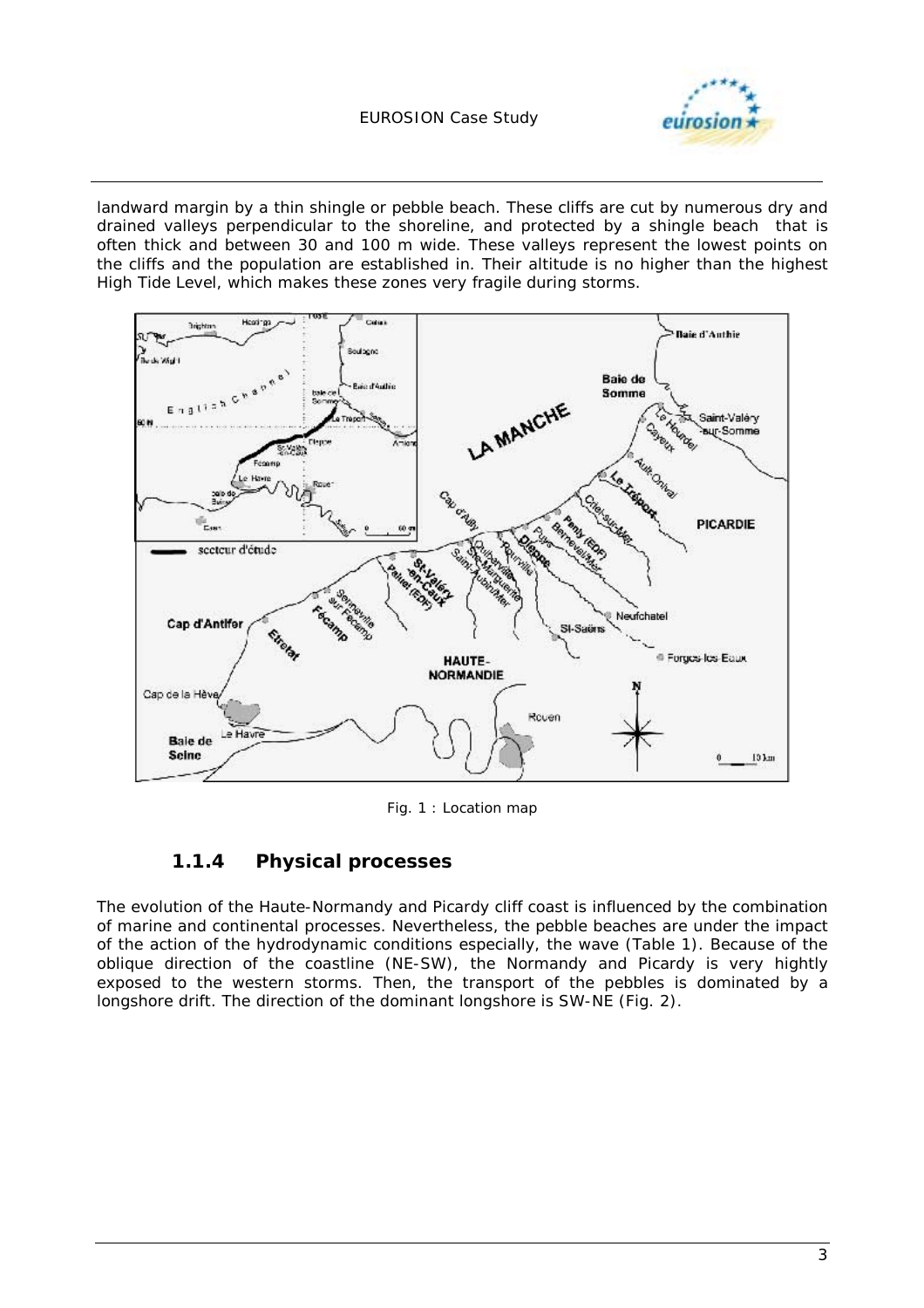

landward margin by a thin shingle or pebble beach. These cliffs are cut by numerous dry and drained valleys perpendicular to the shoreline, and protected by a shingle beach that is often thick and between 30 and 100 m wide. These valleys represent the lowest points on the cliffs and the population are established in. Their altitude is no higher than the highest High Tide Level, which makes these zones very fragile during storms.



*Fig. 1 : Location map* 

#### **1.1.4 Physical processes**

The evolution of the Haute-Normandy and Picardy cliff coast is influenced by the combination of marine and continental processes. Nevertheless, the pebble beaches are under the impact of the action of the hydrodynamic conditions especially, the wave (Table 1). Because of the oblique direction of the coastline (NE-SW), the Normandy and Picardy is very hightly exposed to the western storms. Then, the transport of the pebbles is dominated by a longshore drift. The direction of the dominant longshore is SW-NE (Fig. 2).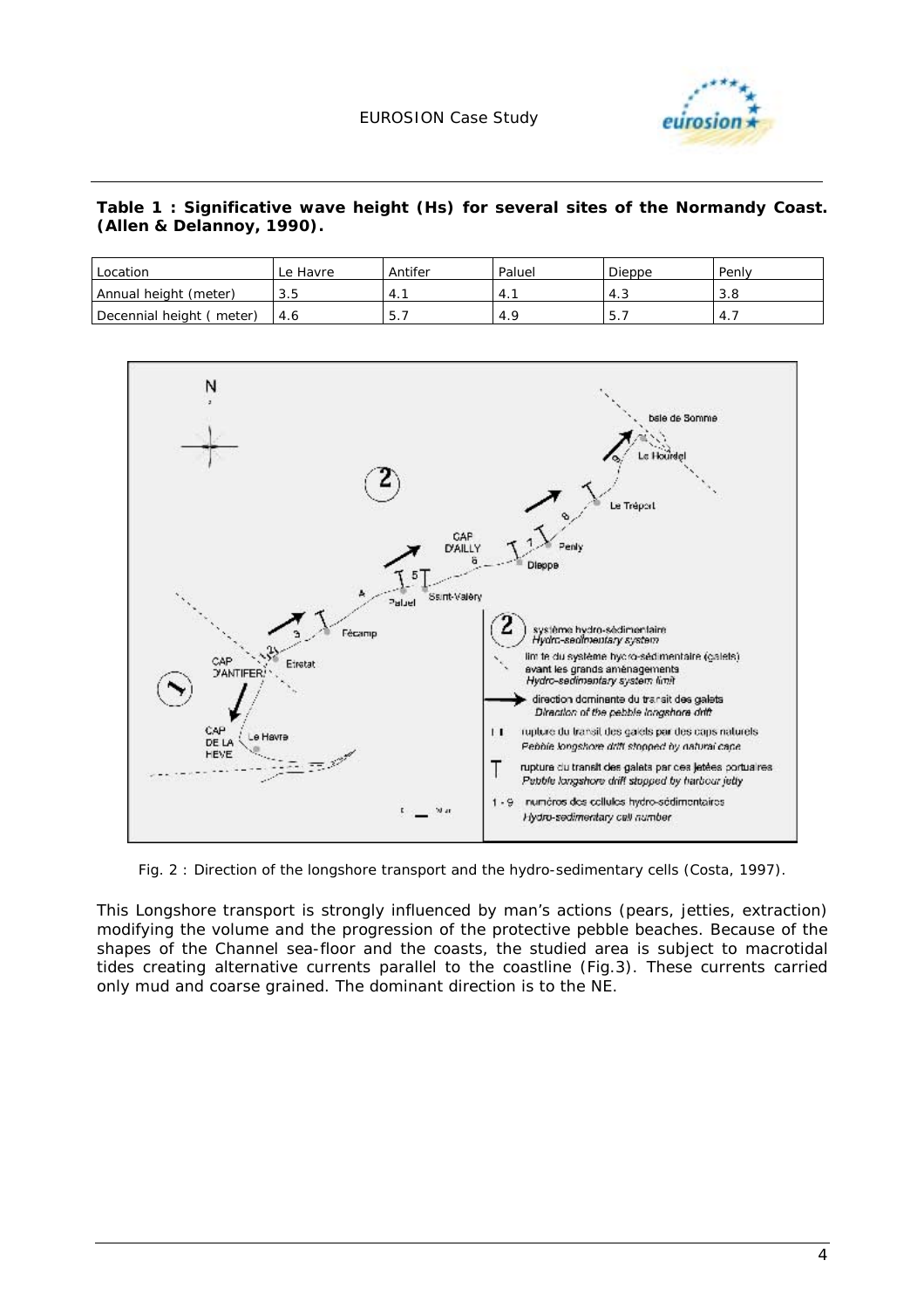

*Table 1 : Significative wave height (Hs) for several sites of the Normandy Coast. (Allen & Delannoy, 1990).* 

| Location                     | Le Havre | Antifer | Paluel | Dieppe | Penly |
|------------------------------|----------|---------|--------|--------|-------|
| Annual height (meter)        | 3.5      | $-4.$   | 4.     | د.4    | 3.8   |
| Decennial height (<br>meter) | 4.6      | 5.      | 4.9    | 5.     | -4.   |



*Fig. 2 : Direction of the longshore transport and the hydro-sedimentary cells (Costa, 1997).* 

This Longshore transport is strongly influenced by man's actions (pears, jetties, extraction) modifying the volume and the progression of the protective pebble beaches. Because of the shapes of the Channel sea-floor and the coasts, the studied area is subject to macrotidal tides creating alternative currents parallel to the coastline (Fig.3). These currents carried only mud and coarse grained. The dominant direction is to the NE.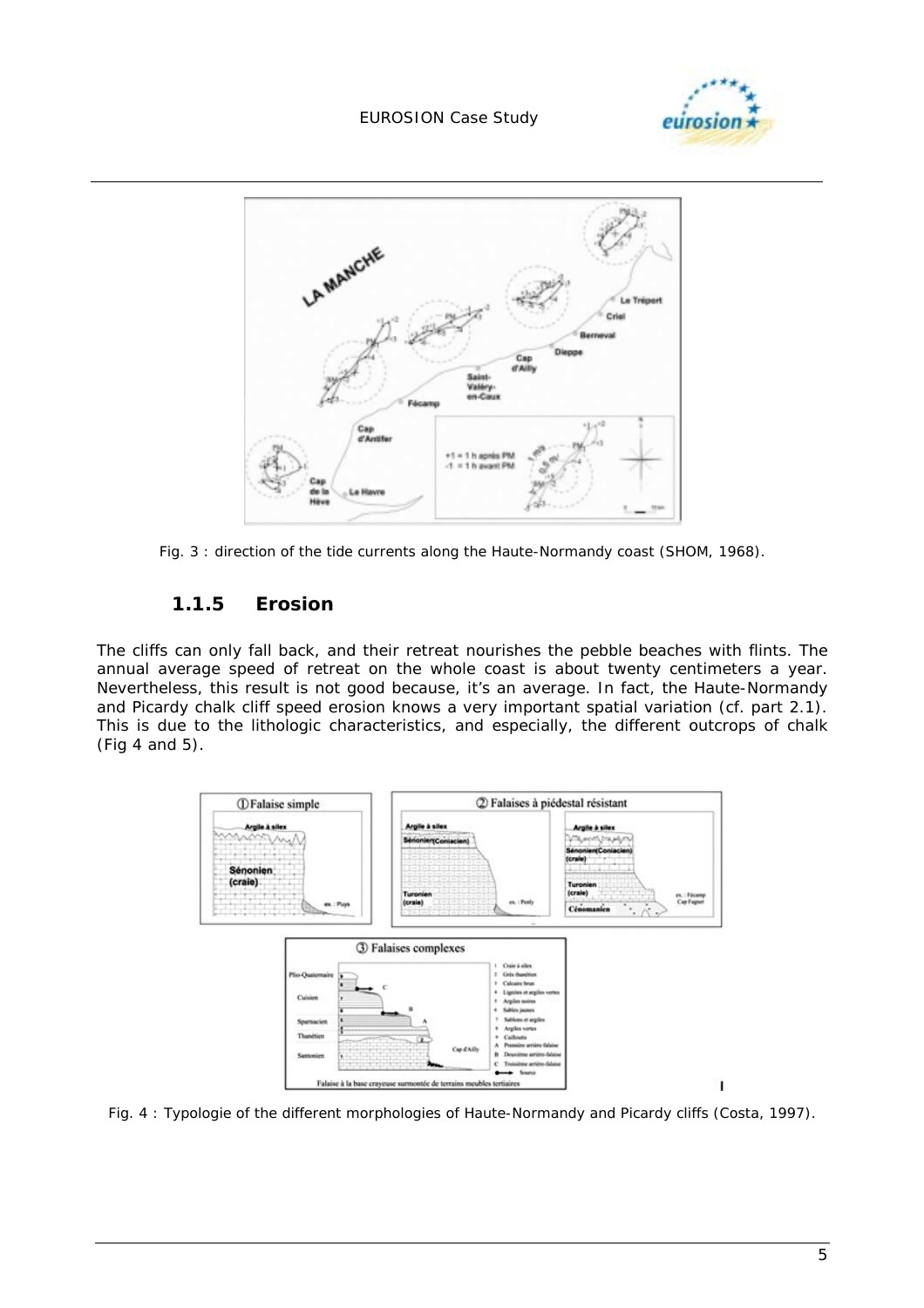



*Fig. 3 : direction of the tide currents along the Haute-Normandy coast (SHOM, 1968).* 

#### **1.1.5 Erosion**

The cliffs can only fall back, and their retreat nourishes the pebble beaches with flints. The annual average speed of retreat on the whole coast is about twenty centimeters a year. Nevertheless, this result is not good because, it's an average. In fact, the Haute-Normandy and Picardy chalk cliff speed erosion knows a very important spatial variation (cf. part 2.1). This is due to the lithologic characteristics, and especially, the different outcrops of chalk (Fig 4 and 5).



*Fig. 4 : Typologie of the different morphologies of Haute-Normandy and Picardy cliffs (Costa, 1997).*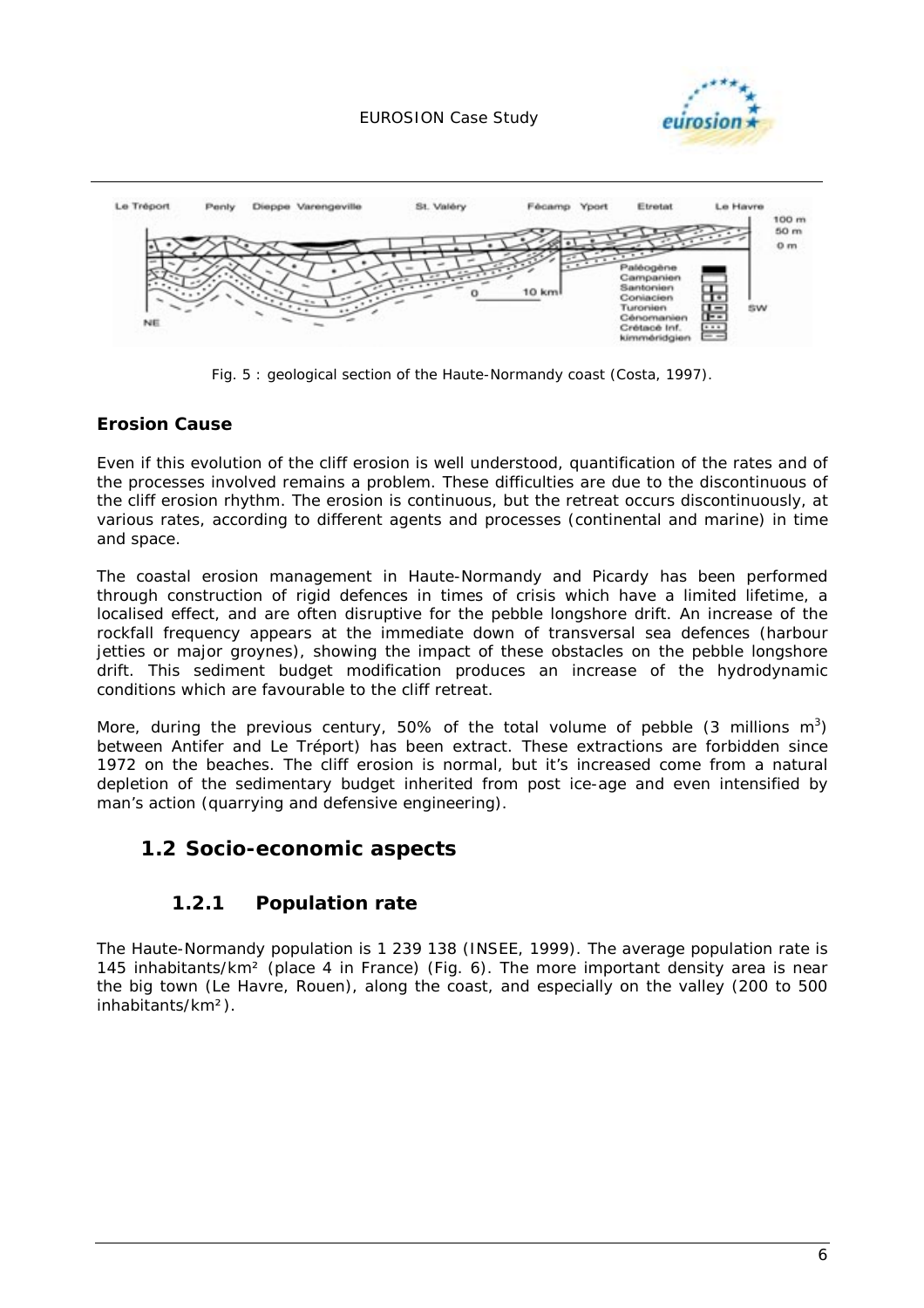



*Fig. 5 : geological section of the Haute-Normandy coast (Costa, 1997).* 

#### **Erosion Cause**

Even if this evolution of the cliff erosion is well understood, quantification of the rates and of the processes involved remains a problem. These difficulties are due to the discontinuous of the cliff erosion rhythm. The erosion is continuous, but the retreat occurs discontinuously, at various rates, according to different agents and processes (continental and marine) in time and space.

The coastal erosion management in Haute-Normandy and Picardy has been performed through construction of rigid defences in times of crisis which have a limited lifetime, a localised effect, and are often disruptive for the pebble longshore drift. An increase of the rockfall frequency appears at the immediate down of transversal sea defences (harbour jetties or major groynes), showing the impact of these obstacles on the pebble longshore drift. This sediment budget modification produces an increase of the hydrodynamic conditions which are favourable to the cliff retreat.

More, during the previous century, 50% of the total volume of pebble (3 millions m<sup>3</sup>) between Antifer and Le Tréport) has been extract. These extractions are forbidden since 1972 on the beaches. The cliff erosion is normal, but it's increased come from a natural depletion of the sedimentary budget inherited from post ice-age and even intensified by man's action (quarrying and defensive engineering).

### **1.2 Socio-economic aspects**

### **1.2.1 Population rate**

The Haute-Normandy population is 1 239 138 (INSEE, 1999). The average population rate is 145 inhabitants/km² (place 4 in France) (Fig. 6). The more important density area is near the big town (Le Havre, Rouen), along the coast, and especially on the valley (200 to 500 inhabitants/km²).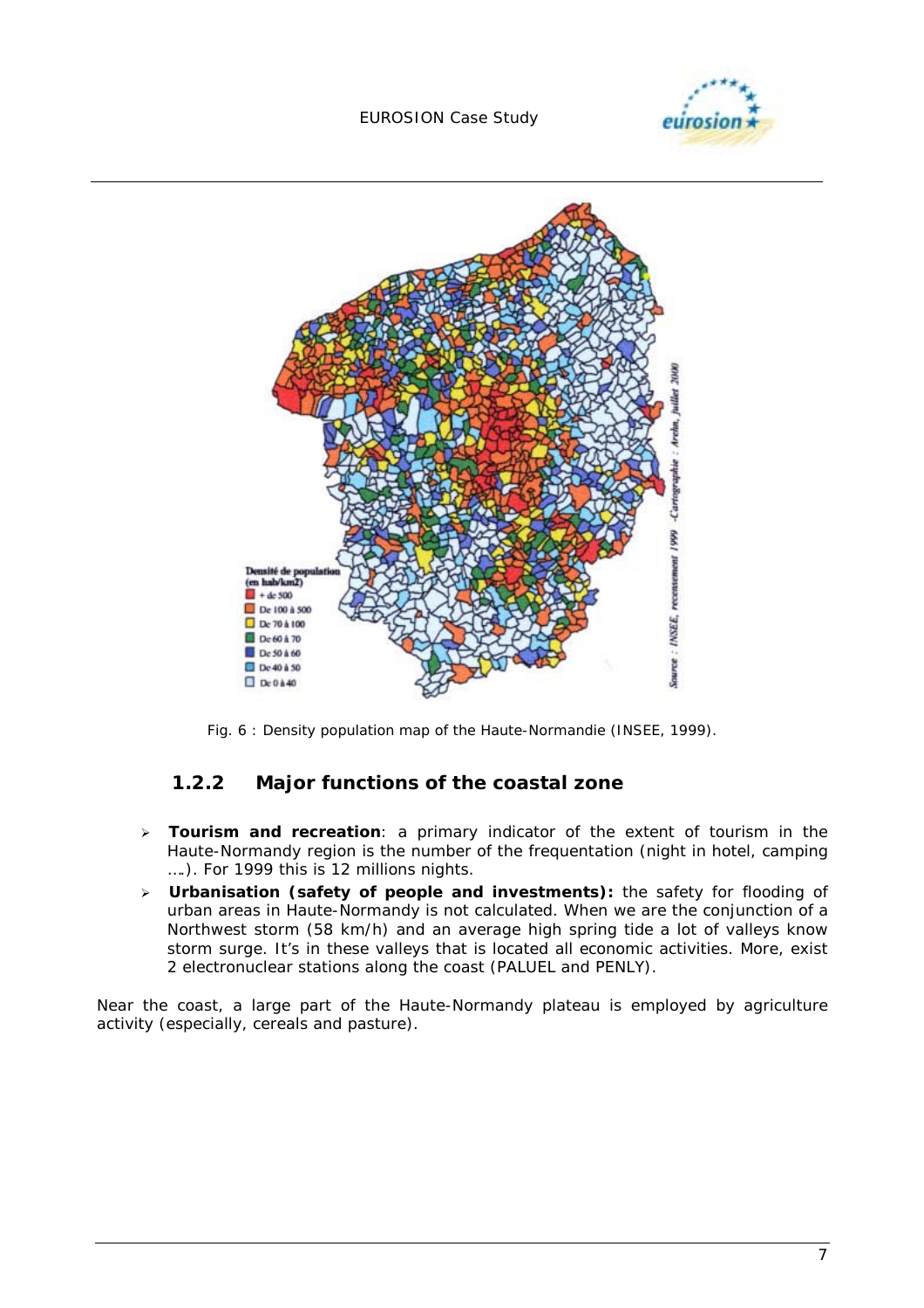



*Fig. 6 : Density population map of the Haute-Normandie (INSEE, 1999).* 

### **1.2.2 Major functions of the coastal zone**

- $\blacktriangleright$  **Tourism and recreation**: a primary indicator of the extent of tourism in the Haute-Normandy region is the number of the frequentation (night in hotel, camping ….). For 1999 this is 12 millions nights.
- > **Urbanisation (safety of people and investments)**: the safety for flooding of urban areas in Haute-Normandy is not calculated. When we are the conjunction of a Northwest storm (58 km/h) and an average high spring tide a lot of valleys know storm surge. It's in these valleys that is located all economic activities. More, exist 2 electronuclear stations along the coast (PALUEL and PENLY).

Near the coast, a large part of the Haute-Normandy plateau is employed by agriculture activity (especially, cereals and pasture).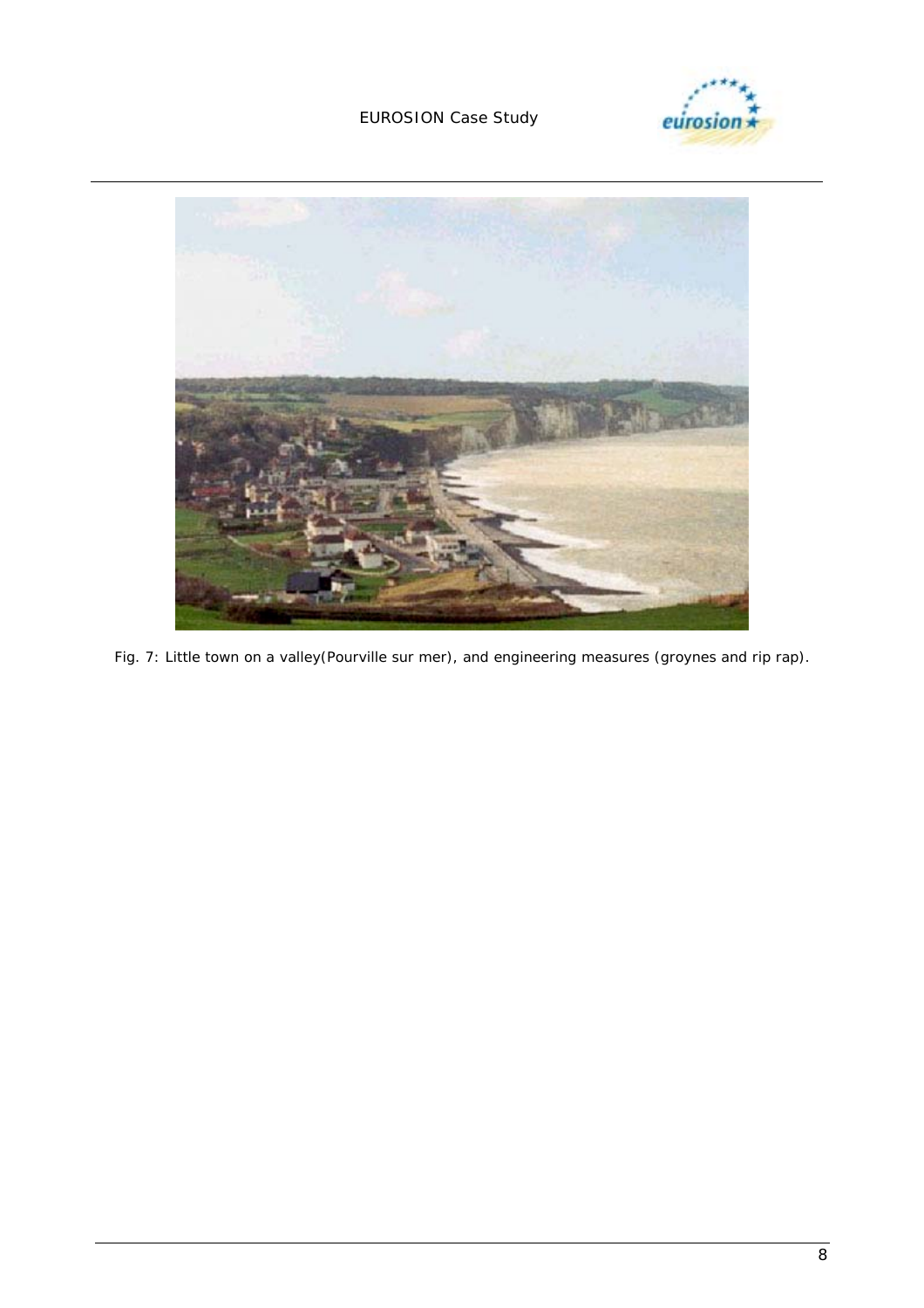



*Fig. 7: Little town on a valley(Pourville sur mer), and engineering measures (groynes and rip rap).*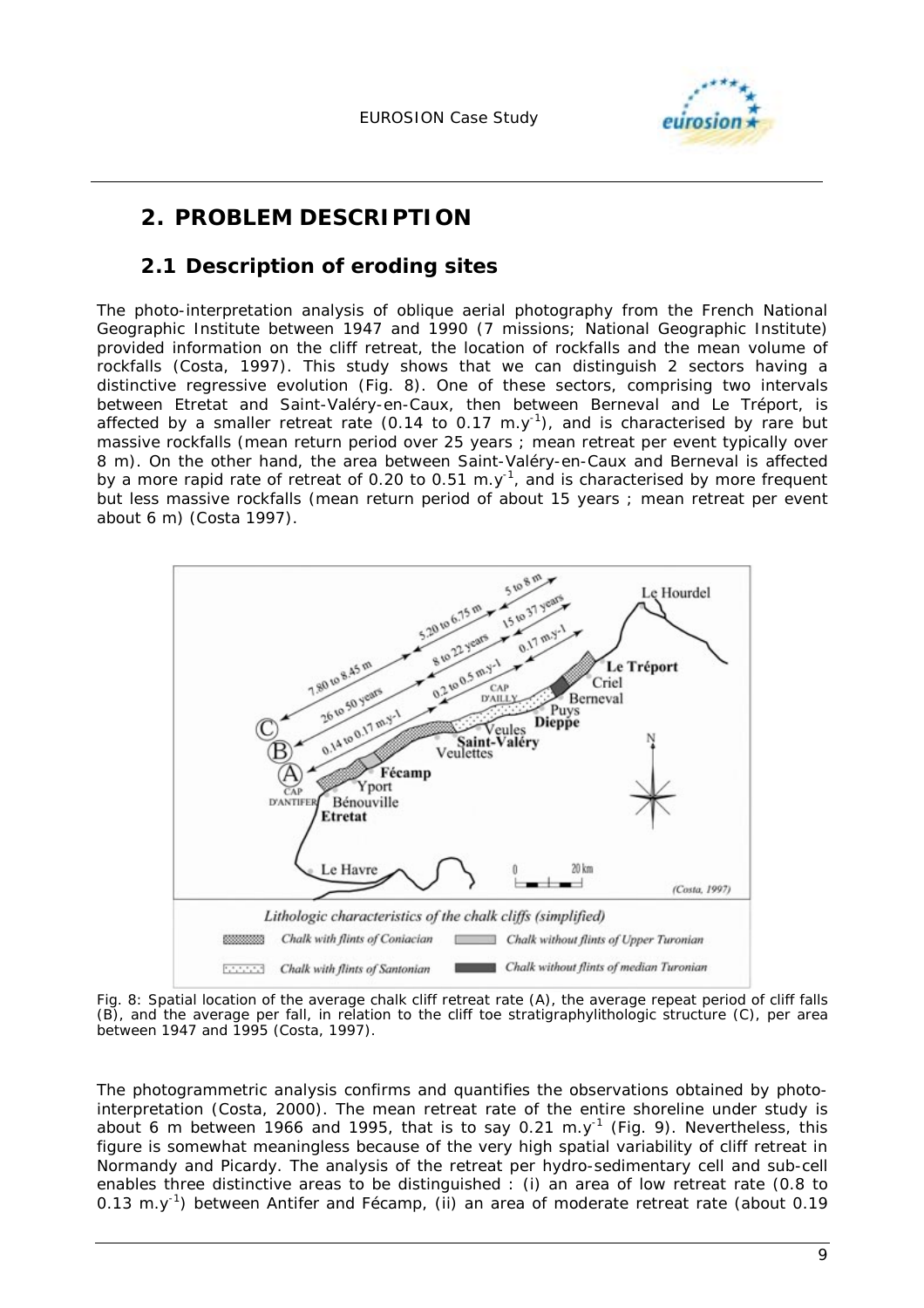

# **2. PROBLEM DESCRIPTION**

### **2.1 Description of eroding sites**

The photo-interpretation analysis of oblique aerial photography from the French National Geographic Institute between 1947 and 1990 (7 missions; National Geographic Institute) provided information on the cliff retreat, the location of rockfalls and the mean volume of rockfalls (Costa, 1997). This study shows that we can distinguish 2 sectors having a distinctive regressive evolution (Fig. 8). One of these sectors, comprising two intervals between Etretat and Saint-Valéry-en-Caux, then between Berneval and Le Tréport, is affected by a smaller retreat rate (0.14 to 0.17 m.y<sup>-1</sup>), and is characterised by rare but massive rockfalls (mean return period over 25 years ; mean retreat per event typically over 8 m). On the other hand, the area between Saint-Valéry-en-Caux and Berneval is affected by a more rapid rate of retreat of 0.20 to 0.51 m.y<sup>-1</sup>, and is characterised by more frequent but less massive rockfalls (mean return period of about 15 years ; mean retreat per event about 6 m) (Costa 1997).



Fig. 8: Spatial location of the average chalk cliff retreat rate (A), the average repeat period of cliff falls (B), and the average per fall, in relation to the cliff toe stratigraphylithologic structure (C), per area between 1947 and 1995 (Costa, 1997).

The photogrammetric analysis confirms and quantifies the observations obtained by photointerpretation (Costa, 2000). The mean retreat rate of the entire shoreline under study is about 6 m between 1966 and 1995, that is to say 0.21 m.y<sup>-1</sup> (Fig. 9). Nevertheless, this figure is somewhat meaningless because of the very high spatial variability of cliff retreat in Normandy and Picardy. The analysis of the retreat per hydro-sedimentary cell and sub-cell enables three distinctive areas to be distinguished : (i) an area of low retreat rate (0.8 to 0.13 m.y<sup>-1</sup>) between Antifer and Fécamp, (ii) an area of moderate retreat rate (about 0.19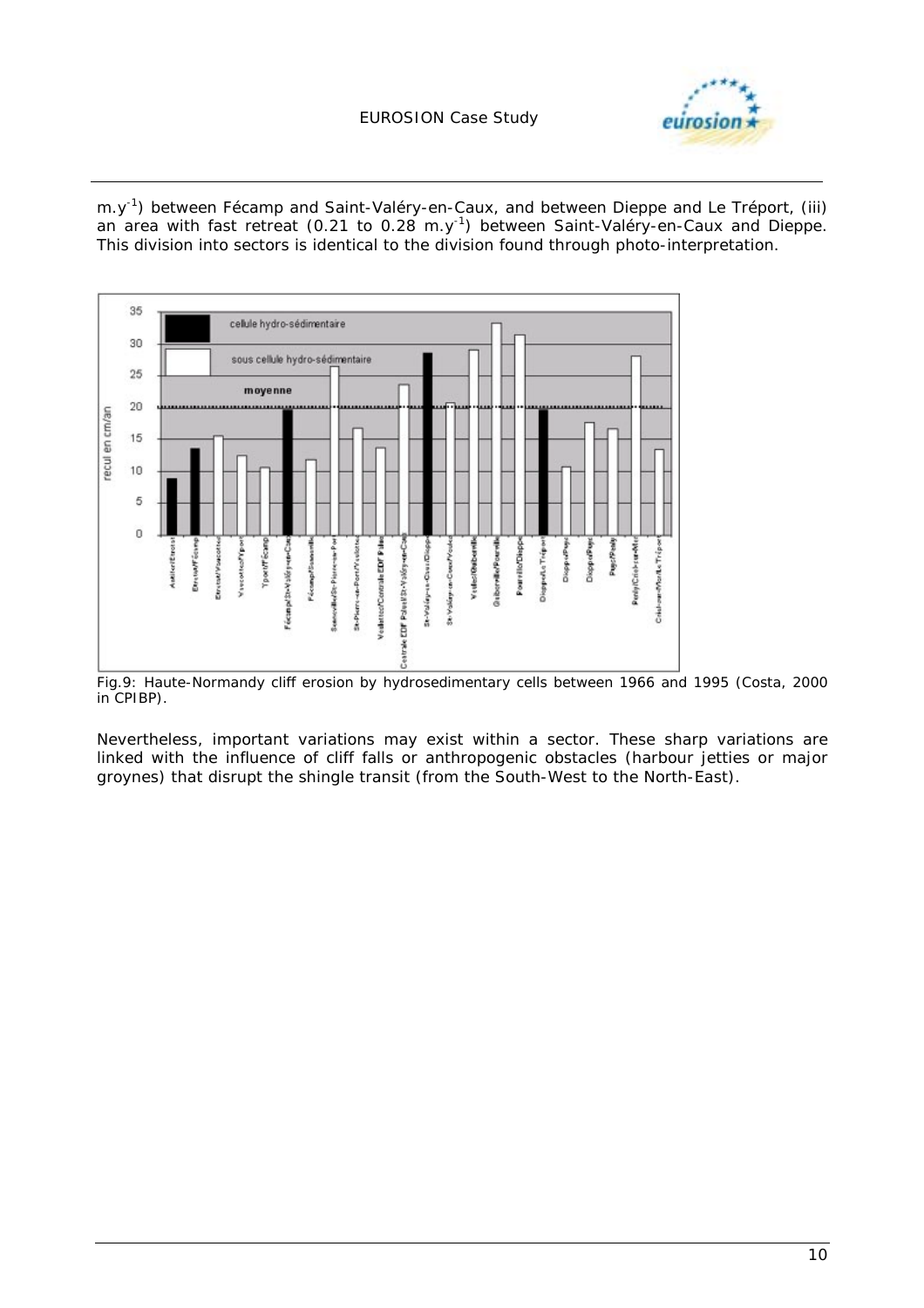

m.y<sup>-1</sup>) between Fécamp and Saint-Valéry-en-Caux, and between Dieppe and Le Tréport, (iii) an area with fast retreat (0.21 to 0.28 m.y<sup>-1</sup>) between Saint-Valéry-en-Caux and Dieppe. This division into sectors is identical to the division found through photo-interpretation.



*Fig.9: Haute-Normandy cliff erosion by hydrosedimentary cells between 1966 and 1995 (Costa, 2000 in CPIBP).* 

Nevertheless, important variations may exist within a sector. These sharp variations are linked with the influence of cliff falls or anthropogenic obstacles (harbour jetties or major groynes) that disrupt the shingle transit (from the South-West to the North-East).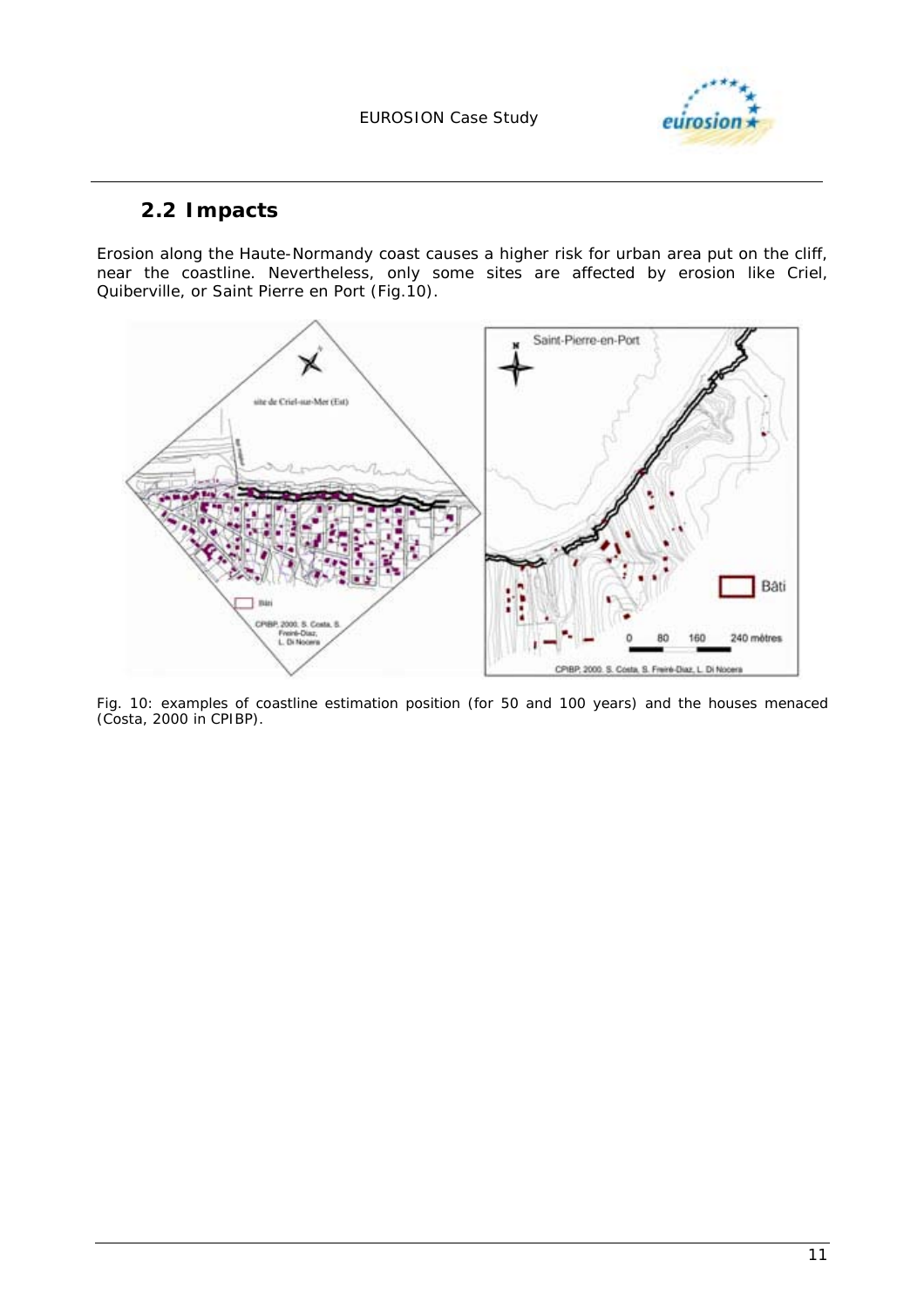

# **2.2 Impacts**

Erosion along the Haute-Normandy coast causes a higher risk for urban area put on the cliff, near the coastline. Nevertheless, only some sites are affected by erosion like Criel, Quiberville, or Saint Pierre en Port (Fig.10).



*Fig. 10: examples of coastline estimation position (for 50 and 100 years) and the houses menaced (Costa, 2000 in CPIBP).*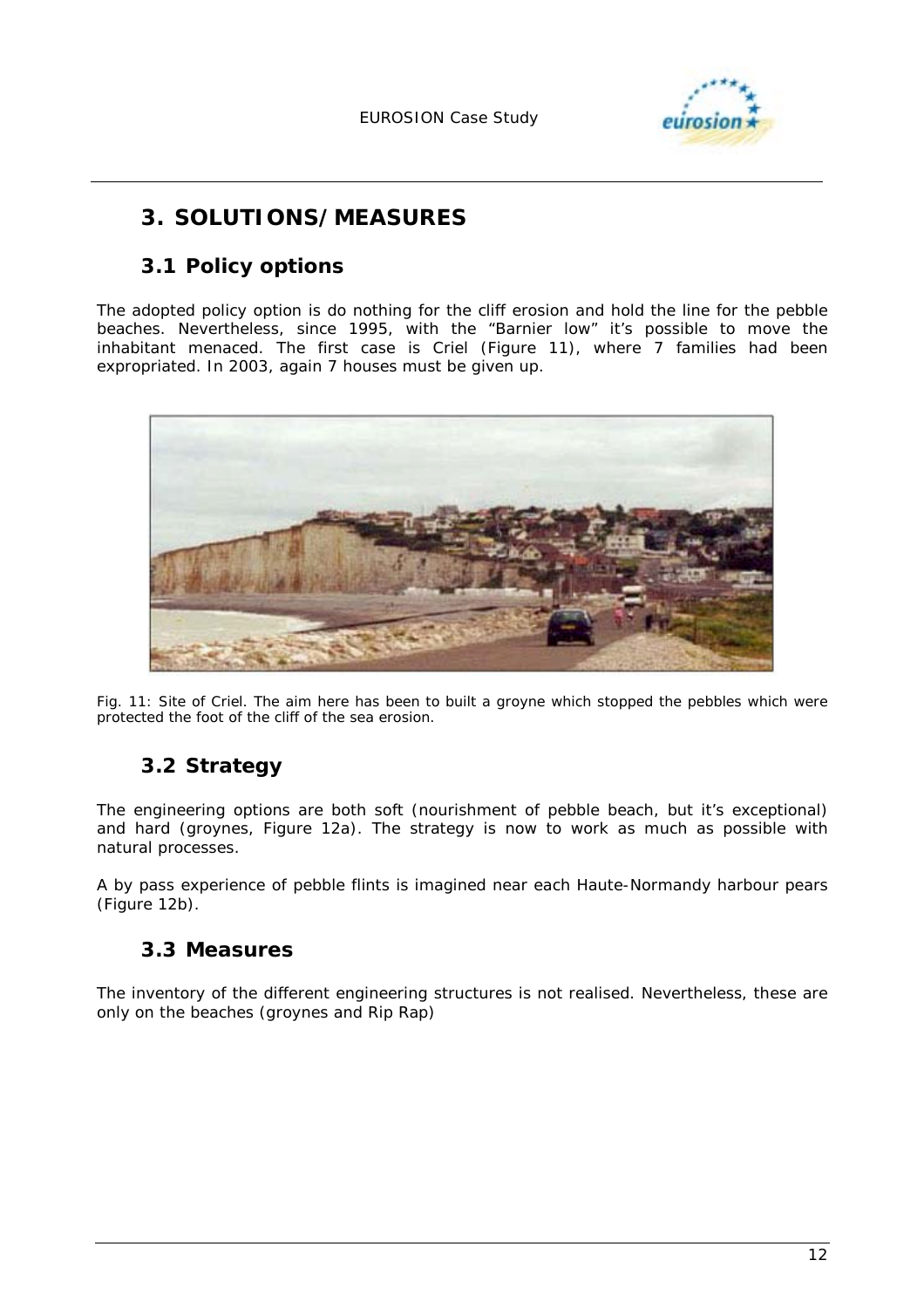

# **3. SOLUTIONS/MEASURES**

# **3.1 Policy options**

The adopted policy option is do nothing for the cliff erosion and hold the line for the pebble beaches. Nevertheless, since 1995, with the "Barnier low" it's possible to move the inhabitant menaced. The first case is Criel (Figure 11), where 7 families had been expropriated. In 2003, again 7 houses must be given up.



*Fig. 11: Site of Criel. The aim here has been to built a groyne which stopped the pebbles which were protected the foot of the cliff of the sea erosion.* 

# **3.2 Strategy**

The engineering options are both soft (nourishment of pebble beach, but it's exceptional) and hard (groynes, Figure 12a). The strategy is now to work as much as possible with natural processes.

A by pass experience of pebble flints is imagined near each Haute-Normandy harbour pears (Figure 12b).

# **3.3 Measures**

The inventory of the different engineering structures is not realised. Nevertheless, these are only on the beaches (groynes and Rip Rap)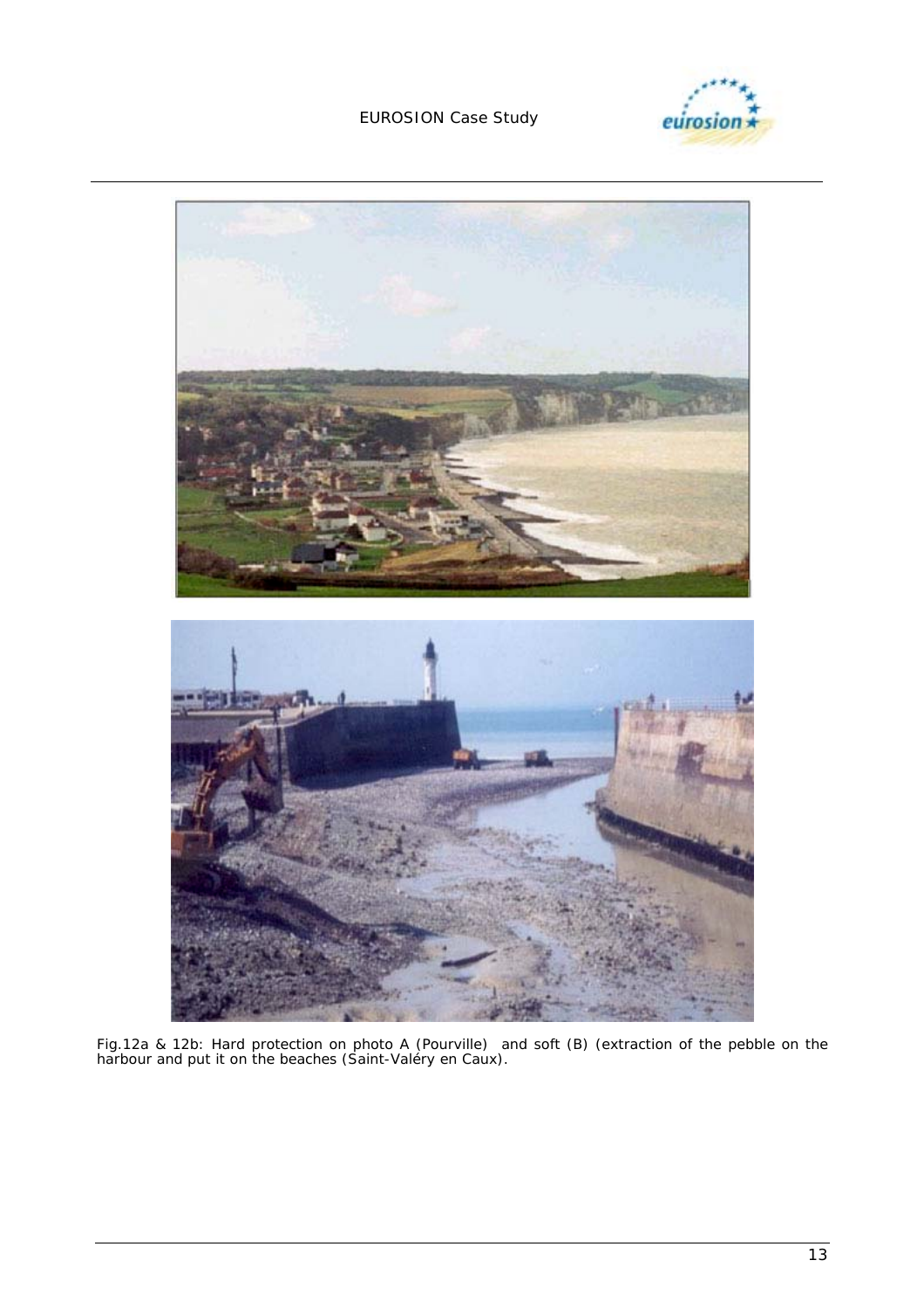



*Fig.12a & 12b: Hard protection on photo A (Pourville) and soft (B) (extraction of the pebble on the harbour and put it on the beaches (Saint-Valéry en Caux).*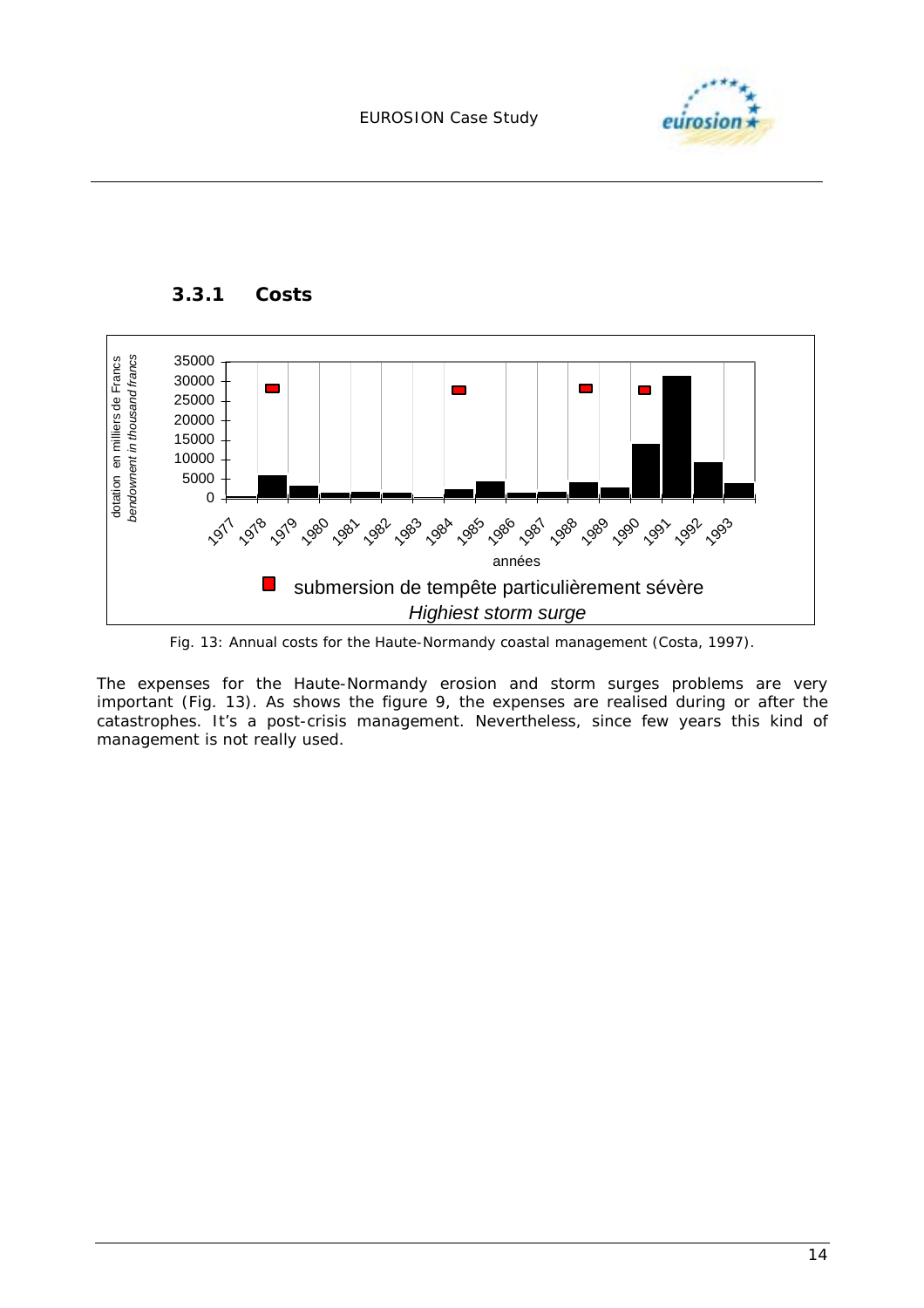



*Fig. 13: Annual costs for the Haute-Normandy coastal management (Costa, 1997).* 

The expenses for the Haute-Normandy erosion and storm surges problems are very important (Fig. 13). As shows the figure 9, the expenses are realised during or after the catastrophes. It's a post-crisis management. Nevertheless, since few years this kind of management is not really used.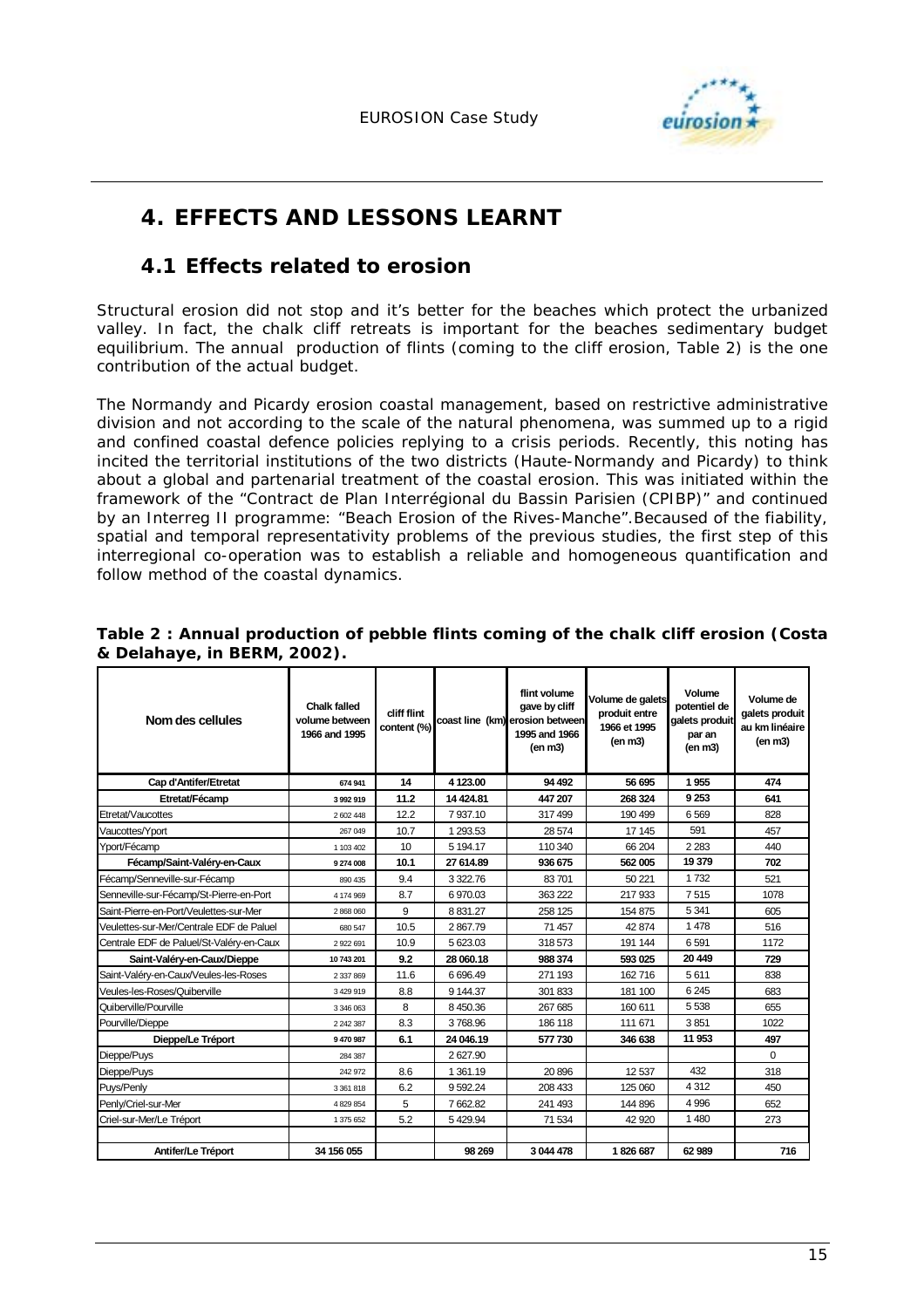

# **4. EFFECTS AND LESSONS LEARNT**

### **4.1 Effects related to erosion**

Structural erosion did not stop and it's better for the beaches which protect the urbanized valley. In fact, the chalk cliff retreats is important for the beaches sedimentary budget equilibrium. The annual production of flints (coming to the cliff erosion, Table 2) is the one contribution of the actual budget.

The Normandy and Picardy erosion coastal management, based on restrictive administrative division and not according to the scale of the natural phenomena, was summed up to a rigid and confined coastal defence policies replying to a crisis periods. Recently, this noting has incited the territorial institutions of the two districts (Haute-Normandy and Picardy) to think about a global and partenarial treatment of the coastal erosion. This was initiated within the framework of the "Contract de Plan Interrégional du Bassin Parisien (CPIBP)" and continued by an Interreg II programme: "Beach Erosion of the Rives-Manche".Becaused of the fiability, spatial and temporal representativity problems of the previous studies, the first step of this interregional co-operation was to establish a reliable and homogeneous quantification and follow method of the coastal dynamics.

| Nom des cellules                         | <b>Chalk falled</b><br>volume between<br>1966 and 1995 | cliff flint<br>content (%) |            | flint volume<br>gave by cliff<br>coast line (km) erosion between<br>1995 and 1966<br>(en m3) | Volume de galets<br>produit entre<br>1966 et 1995<br>(en m3) | Volume<br>potentiel de<br>galets produit<br>par an<br>(en m3) | Volume de<br>galets produit<br>au km linéaire<br>(en <sub>m3</sub> ) |
|------------------------------------------|--------------------------------------------------------|----------------------------|------------|----------------------------------------------------------------------------------------------|--------------------------------------------------------------|---------------------------------------------------------------|----------------------------------------------------------------------|
| Cap d'Antifer/Etretat                    | 674 941                                                | 14                         | 4 123.00   | 94 492                                                                                       | 56 695                                                       | 1955                                                          | 474                                                                  |
| Etretat/Fécamp                           | 3992919                                                | 11.2                       | 14 4 24.81 | 447 207                                                                                      | 268 324                                                      | 9 2 5 3                                                       | 641                                                                  |
| Etretat/Vaucottes                        | 2 602 448                                              | 12.2                       | 7937.10    | 317 499                                                                                      | 190 499                                                      | 6569                                                          | 828                                                                  |
| Vaucottes/Yport                          | 267 049                                                | 10.7                       | 1 293.53   | 28 574                                                                                       | 17 145                                                       | 591                                                           | 457                                                                  |
| Yport/Fécamp                             | 1 103 402                                              | 10                         | 5 194.17   | 110 340                                                                                      | 66 204                                                       | 2 2 8 3                                                       | 440                                                                  |
| Fécamp/Saint-Valéry-en-Caux              | 9 274 008                                              | 10.1                       | 27 614.89  | 936 675                                                                                      | 562 005                                                      | 19 379                                                        | 702                                                                  |
| Fécamp/Senneville-sur-Fécamp             | 890 435                                                | 9.4                        | 3 3 2 2.76 | 83701                                                                                        | 50 221                                                       | 1732                                                          | 521                                                                  |
| Senneville-sur-Fécamp/St-Pierre-en-Port  | 4 174 969                                              | 8.7                        | 6970.03    | 363 222                                                                                      | 217 933                                                      | 7515                                                          | 1078                                                                 |
| Saint-Pierre-en-Port/Veulettes-sur-Mer   | 2868060                                                | 9                          | 8831.27    | 258 125                                                                                      | 154 875                                                      | 5 3 4 1                                                       | 605                                                                  |
| Veulettes-sur-Mer/Centrale EDF de Paluel | 680 547                                                | 10.5                       | 2867.79    | 71 457                                                                                       | 42 874                                                       | 1478                                                          | 516                                                                  |
| Centrale EDF de Paluel/St-Valéry-en-Caux | 2 922 691                                              | 10.9                       | 5 623.03   | 318 573                                                                                      | 191 144                                                      | 6591                                                          | 1172                                                                 |
| Saint-Valéry-en-Caux/Dieppe              | 10 743 201                                             | 9.2                        | 28 060.18  | 988 374                                                                                      | 593 025                                                      | 20 449                                                        | 729                                                                  |
| Saint-Valéry-en-Caux/Veules-les-Roses    | 2 337 869                                              | 11.6                       | 6696.49    | 271 193                                                                                      | 162716                                                       | 5611                                                          | 838                                                                  |
| Veules-les-Roses/Quiberville             | 3 4 29 9 19                                            | 8.8                        | 9 144.37   | 301 833                                                                                      | 181 100                                                      | 6 2 4 5                                                       | 683                                                                  |
| Quiberville/Pourville                    | 3 346 063                                              | 8                          | 8 4 5 0.36 | 267 685                                                                                      | 160 611                                                      | 5538                                                          | 655                                                                  |
| Pourville/Dieppe                         | 2 2 4 2 3 8 7                                          | 8.3                        | 3768.96    | 186 118                                                                                      | 111 671                                                      | 3851                                                          | 1022                                                                 |
| Dieppe/Le Tréport                        | 9470987                                                | 6.1                        | 24 046.19  | 577 730                                                                                      | 346 638                                                      | 11 953                                                        | 497                                                                  |
| Dieppe/Puys                              | 284 387                                                |                            | 2627.90    |                                                                                              |                                                              |                                                               | $\Omega$                                                             |
| Dieppe/Puys                              | 242 972                                                | 8.6                        | 1 361.19   | 20 896                                                                                       | 12537                                                        | 432                                                           | 318                                                                  |
| Puys/Penly                               | 3 361 818                                              | 6.2                        | 9592.24    | 208 433                                                                                      | 125 060                                                      | 4312                                                          | 450                                                                  |
| Penly/Criel-sur-Mer                      | 4 829 854                                              | 5                          | 7662.82    | 241 493                                                                                      | 144 896                                                      | 4 9 9 6                                                       | 652                                                                  |
| Criel-sur-Mer/Le Tréport                 | 1 375 652                                              | 5.2                        | 5429.94    | 71 534                                                                                       | 42 920                                                       | 1480                                                          | 273                                                                  |
|                                          |                                                        |                            |            |                                                                                              |                                                              |                                                               |                                                                      |
| Antifer/Le Tréport                       | 34 156 055                                             |                            | 98 269     | 3 044 478                                                                                    | 1826687                                                      | 62 989                                                        | 716                                                                  |

*Table 2 : Annual production of pebble flints coming of the chalk cliff erosion (Costa & Delahaye, in BERM, 2002).*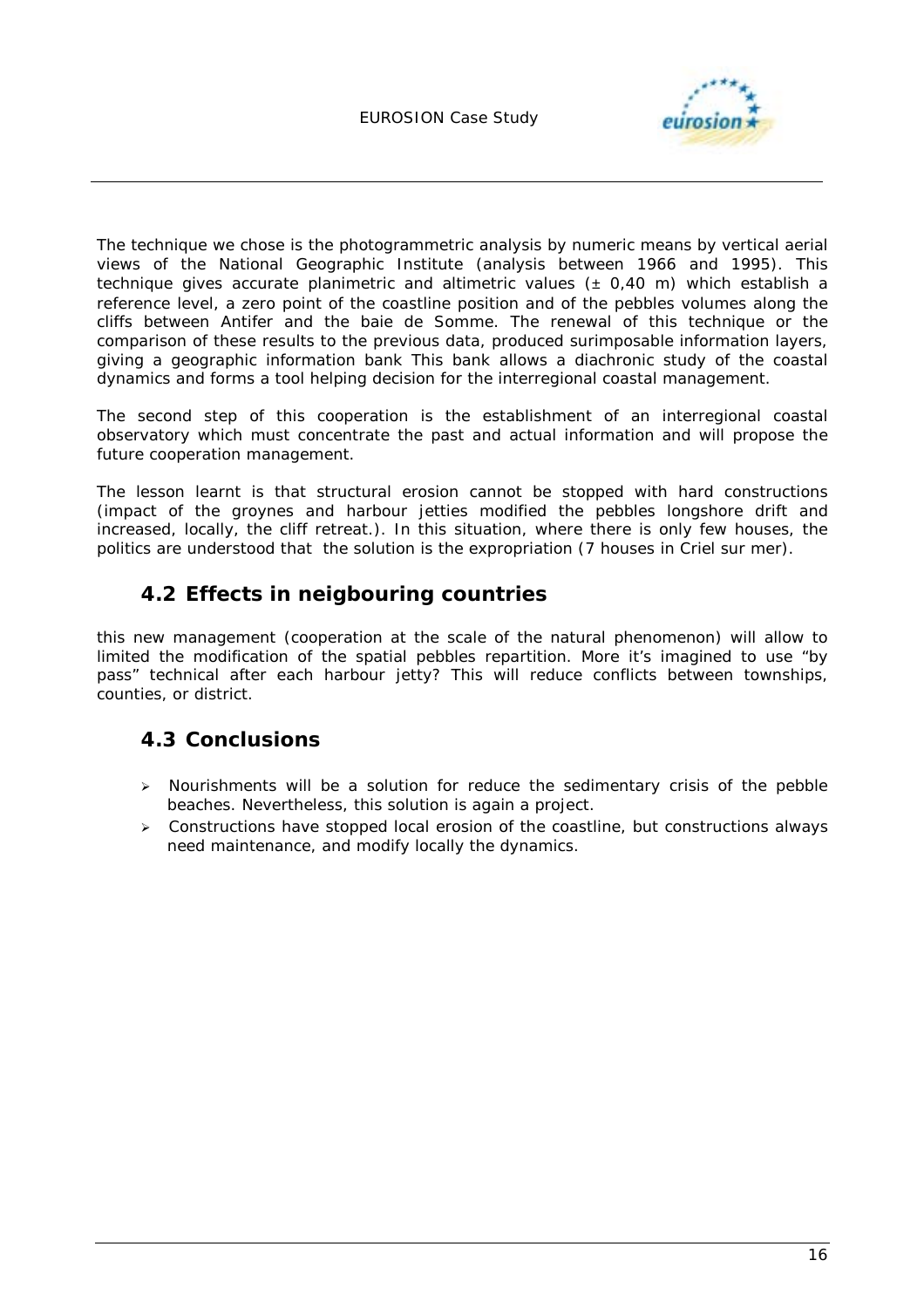

The technique we chose is the photogrammetric analysis by numeric means by vertical aerial views of the National Geographic Institute (analysis between 1966 and 1995). This technique gives accurate planimetric and altimetric values (± 0,40 m) which establish a reference level, a zero point of the coastline position and of the pebbles volumes along the cliffs between Antifer and the baie de Somme. The renewal of this technique or the comparison of these results to the previous data, produced surimposable information layers, giving a geographic information bank This bank allows a diachronic study of the coastal dynamics and forms a tool helping decision for the interregional coastal management.

The second step of this cooperation is the establishment of an interregional coastal observatory which must concentrate the past and actual information and will propose the future cooperation management.

The lesson learnt is that structural erosion cannot be stopped with hard constructions (impact of the groynes and harbour jetties modified the pebbles longshore drift and increased, locally, the cliff retreat.). In this situation, where there is only few houses, the politics are understood that the solution is the expropriation (7 houses in Criel sur mer).

# **4.2 Effects in neigbouring countries**

this new management (cooperation at the scale of the natural phenomenon) will allow to limited the modification of the spatial pebbles repartition. More it's imagined to use "by pass" technical after each harbour jetty? This will reduce conflicts between townships, counties, or district.

# **4.3 Conclusions**

- $\triangleright$  Nourishments will be a solution for reduce the sedimentary crisis of the pebble beaches. Nevertheless, this solution is again a project.
- > Constructions have stopped local erosion of the coastline, but constructions always need maintenance, and modify locally the dynamics.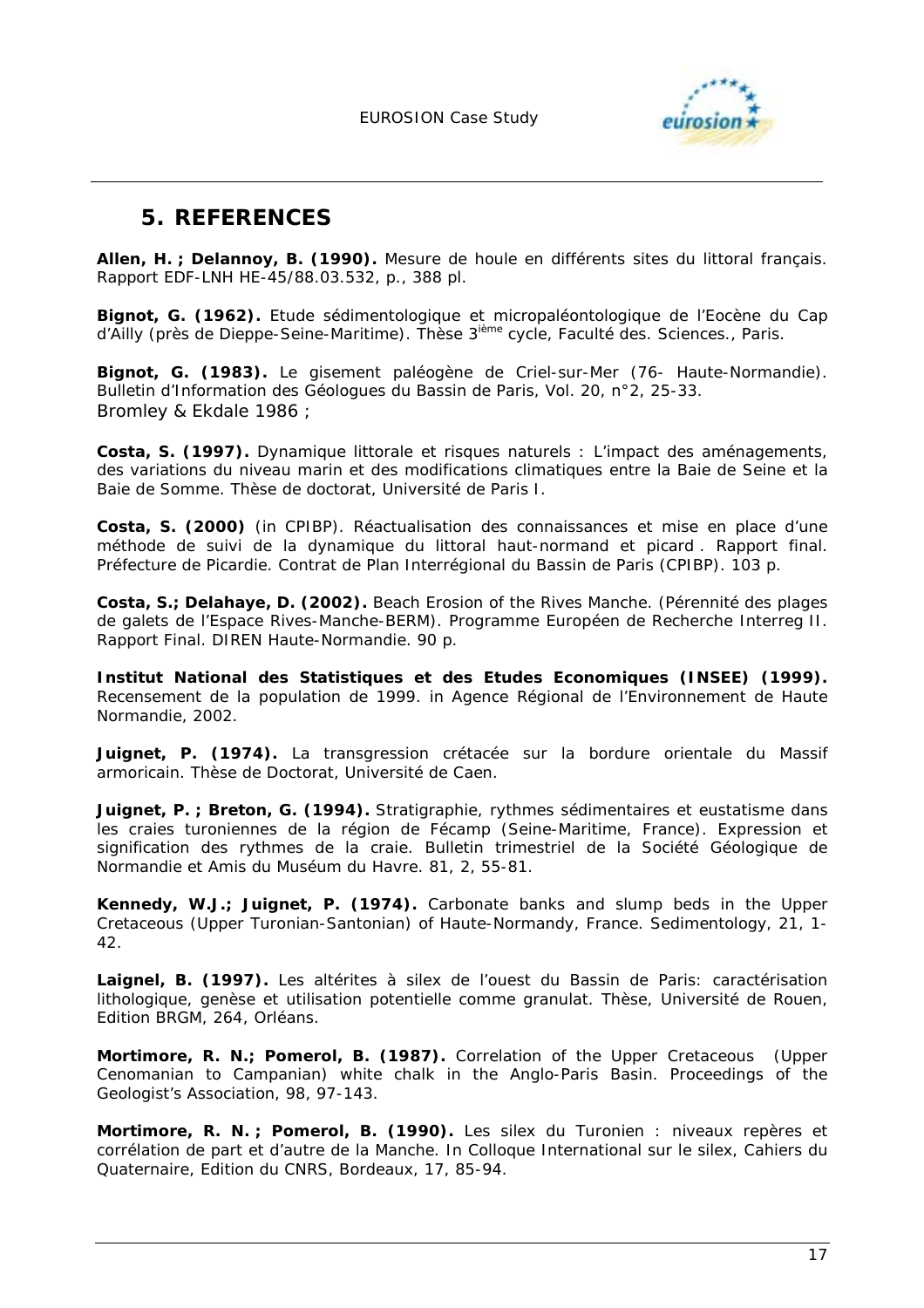

# **5. REFERENCES**

**Allen, H. ; Delannoy, B. (1990).** *Mesure de houle en différents sites du littoral français*. Rapport EDF-LNH HE-45/88.03.532, p., 388 pl.

**Bignot, G. (1962).** *Etude sédimentologique et micropaléontologique de l'Eocène du Cap d'Ailly (près de Dieppe-Seine-Maritime)*. Thèse 3ième cycle, Faculté des. Sciences., Paris.

**Bignot, G. (1983).** *Le gisement paléogène de Criel-sur-Mer (76- Haute-Normandie).* Bulletin d'Information des Géologues du Bassin de Paris, Vol. 20, n°2, 25-33. Bromley & Ekdale 1986 ;

**Costa, S. (1997).** *Dynamique littorale et risques naturels : L'impact des aménagements, des variations du niveau marin et des modifications climatiques entre la Baie de Seine et la Baie de Somme.* Thèse de doctorat, Université de Paris I.

**Costa, S. (2000)** (in CPIBP). *Réactualisation des connaissances et mise en place d'une méthode de suivi de la dynamique du littoral haut-normand et picard . Rapport final.* Préfecture de Picardie. Contrat de Plan Interrégional du Bassin de Paris (CPIBP). 103 p.

**Costa, S.; Delahaye, D. (2002).** *Beach Erosion of the Rives Manche. (Pérennité des plages de galets de l'Espace Rives-Manche-BERM)*. Programme Européen de Recherche Interreg II. Rapport Final. DIREN Haute-Normandie. 90 p.

**Institut National des Statistiques et des Etudes Economiques (INSEE) (1999).** *Recensement de la population de 1999. in* Agence Régional de l'Environnement de Haute Normandie, 2002.

**Juignet, P. (1974).** *La transgression crétacée sur la bordure orientale du Massif armoricain.* Thèse de Doctorat, Université de Caen.

**Juignet, P. ; Breton, G. (1994).** *Stratigraphie, rythmes sédimentaires et eustatisme dans*  les craies turoniennes de la région de Fécamp (Seine-Maritime, France). Expression et *signification des rythmes de la craie.* Bulletin trimestriel de la Société Géologique de Normandie et Amis du Muséum du Havre. 81, 2, 55-81.

**Kennedy, W.J.; Juignet, P. (1974).** *Carbonate banks and slump beds in the Upper Cretaceous (Upper Turonian-Santonian) of Haute-Normandy, France*. Sedimentology, 21, 1- 42.

**Laignel, B. (1997).** *Les altérites à silex de l'ouest du Bassin de Paris: caractérisation lithologique, genèse et utilisation potentielle comme granulat.* Thèse, Université de Rouen, Edition BRGM, 264, Orléans.

**Mortimore, R. N.; Pomerol, B. (1987).** *Correlation of the Upper Cretaceous (Upper Cenomanian to Campanian) white chalk in the Anglo-Paris Basin.* Proceedings of the Geologist's Association, 98, 97-143.

**Mortimore, R. N. ; Pomerol, B. (1990).** *Les silex du Turonien : niveaux repères et corrélation de part et d'autre de la Manche*. In Colloque International sur le silex, Cahiers du Quaternaire, Edition du CNRS, Bordeaux, 17, 85-94.